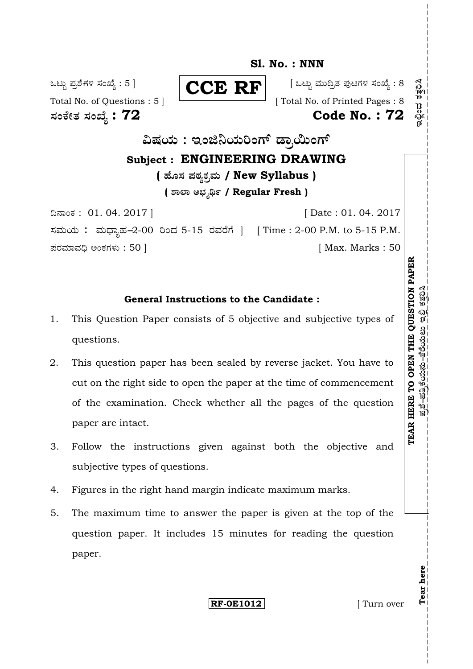**Sl. No. : NNN** Jlflo Æ⁄√ÀÊ-V⁄◊⁄ —⁄MSÊ¿ : 5 ] [ Jlflo »⁄flfl¶√}⁄ Æ⁄'¥lV⁄◊⁄ —⁄MSÊ¿ : 8 **CCE RF Æ⁄√ÀÊ- Æ⁄~√OÊæ⁄fl´⁄fl- }Ê¡Êæ⁄flƒfl BΔ« O⁄}⁄°¬" BΔ«M•⁄ O⁄}⁄°¬"** ೩ಲ್ಲಿಂದ ಕತರಿಸಿ Total No. of Questions : 5 |  $\Box$  [ Total No. of Printed Pages : 8 **—⁄MOÊfi}⁄ —⁄MSÊ¿ : 72 Code No. : 72** ವಿಷಯ : ಇಂಜಿನಿಯರಿಂಗ್ ಡ್ರಾಯಿಂಗ್ **Subject : ENGINEERING DRAWING ( 'ʇ—⁄ Æ⁄p⁄¿O⁄√»⁄fl / New Syllabus ) ( À¤≈¤ @∫⁄¥¿£% / Regular Fresh )** ¶´¤MO⁄ : 01. 04. 2017 ] [ Date : 01. 04. 2017 ಸಮಯ: ಮಧ್ಯಾಹ-2-00 ರಿಂದ 5-15 ರವರೆಗೆ | [Time : 2-00 P.M. to 5-15 P.M. Æ⁄¡⁄»⁄·¤»⁄© @MO⁄V⁄◊⁄fl : 50 ] [ Max. Marks : 50 **R**

#### **General Instructions to the Candidate :**

- 1. This Question Paper consists of 5 objective and subjective types of questions.
- 2. This question paper has been sealed by reverse jacket. You have to cut on the right side to open the paper at the time of commencement of the examination. Check whether all the pages of the question paper are intact.
- 3. Follow the instructions given against both the objective and subjective types of questions.
- 4. Figures in the right hand margin indicate maximum marks.
- 5. The maximum time to answer the paper is given at the top of the question paper. It includes 15 minutes for reading the question paper.

**RF-0E1012** [ Turn over

**TEAR HERE TO OPEN THE QUESTION PAPE**

<u>ಪ್ರಶೆ–ಪತ್ರಿಕೆಯನು–ತೆರೆಯಲು ಇಲ್ಲಿ ಕತ್ತರಿಸಿ</u>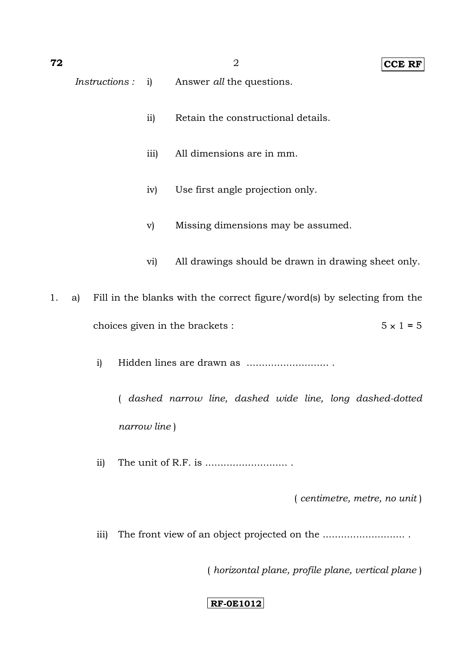*Instructions :* i) Answer *all* the questions. ii) Retain the constructional details. iii) All dimensions are in mm.

- iv) Use first angle projection only.
- v) Missing dimensions may be assumed.
- vi) All drawings should be drawn in drawing sheet only.
- 1. a) Fill in the blanks with the correct figure/word(s) by selecting from the choices given in the brackets :  $5 \times 1 = 5$

i) Hidden lines are drawn as ........................... .

 ( *dashed narrow line, dashed wide line, long dashed-dotted narrow line* )

ii) The unit of R.F. is ........................... .

( *centimetre, metre, no unit* )

iii) The front view of an object projected on the ...............................

( *horizontal plane, profile plane, vertical plane* )

### **RF-0E1012**

#### **72** 2 **CCE RF**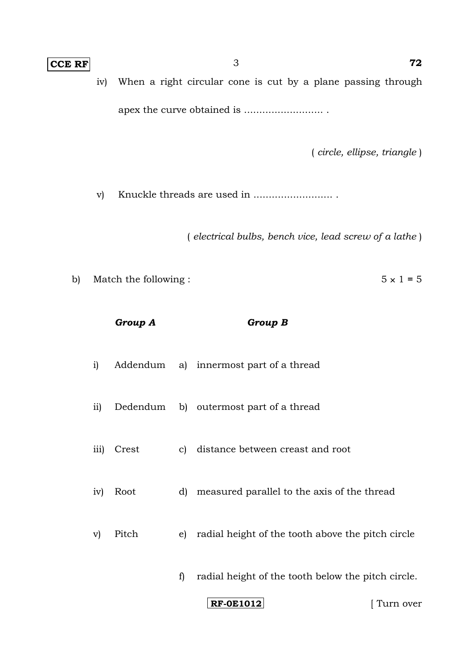## **CCE RF** 3 **72**

iv) When a right circular cone is cut by a plane passing through apex the curve obtained is .......................... .

( *circle, ellipse, triangle* )

v) Knuckle threads are used in .......................... .

( *electrical bulbs, bench vice, lead screw of a lathe* )

**RF-0E1012** [ Turn over

b) Match the following :  $5 \times 1 = 5$ 

|               | <b>Group A</b> |              | <b>Group B</b>                                     |
|---------------|----------------|--------------|----------------------------------------------------|
| i)            |                |              | Addendum a) innermost part of a thread             |
| ii)           |                |              | Dedendum b) outermost part of a thread             |
| iii)          | Crest          |              | c) distance between creast and root                |
| iv)           | Root           | $\mathbf{d}$ | measured parallel to the axis of the thread        |
| $\mathbf{v})$ | Pitch          | $\epsilon$ ) | radial height of the tooth above the pitch circle  |
|               |                | f)           | radial height of the tooth below the pitch circle. |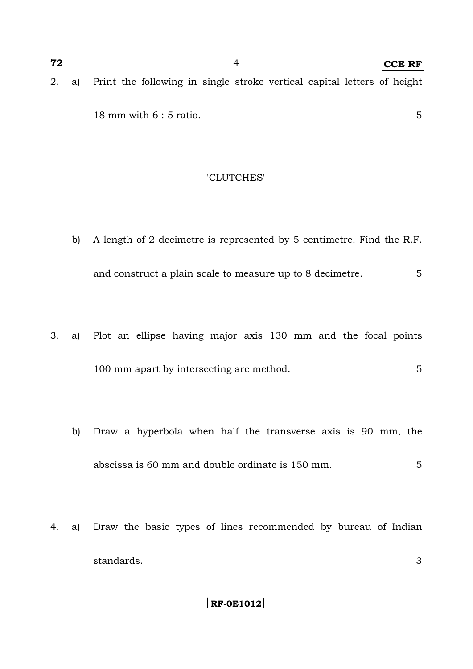#### **72** 4 **CCE RF**

2. a) Print the following in single stroke vertical capital letters of height 18 mm with 6 : 5 ratio. 5

#### 'CLUTCHES'

- b) A length of 2 decimetre is represented by 5 centimetre. Find the R.F. and construct a plain scale to measure up to 8 decimetre.  $\frac{5}{5}$
- 3. a) Plot an ellipse having major axis 130 mm and the focal points 100 mm apart by intersecting arc method. 5
	- b) Draw a hyperbola when half the transverse axis is 90 mm, the abscissa is 60 mm and double ordinate is 150 mm.
- 4. a) Draw the basic types of lines recommended by bureau of Indian standards. 3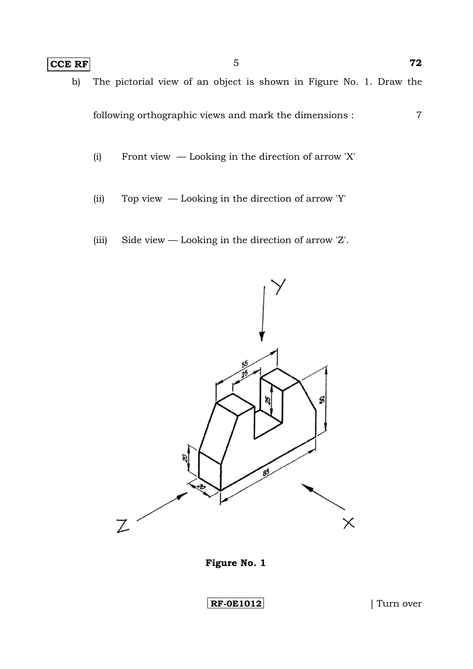## **CCE RF** 5 **72**

b) The pictorial view of an object is shown in Figure No. 1. Draw the

following orthographic views and mark the dimensions :  $\hspace{1.6cm} 7$ 

- (i) Front view Looking in the direction of arrow 'X'
- (ii) Top view  $-$  Looking in the direction of arrow 'Y'
- (iii) Side view Looking in the direction of arrow 'Z'.



**Figure No. 1** 

**RF-0E1012** [ Turn over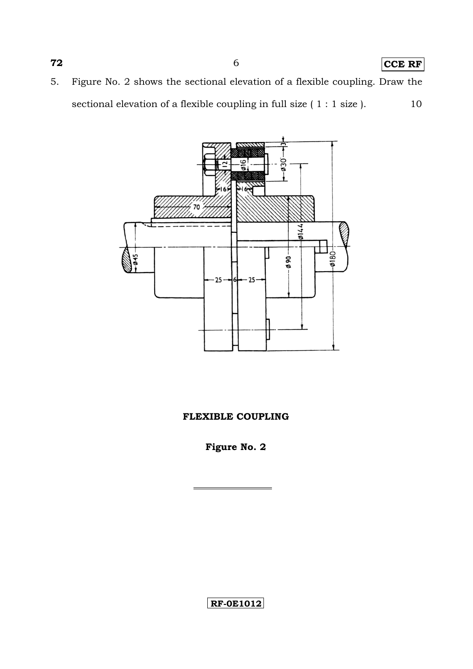## **72** 6 **CCE RF**

5. Figure No. 2 shows the sectional elevation of a flexible coupling. Draw the sectional elevation of a flexible coupling in full size  $(1:1$  size).  $10$ 



## **FLEXIBLE COUPLING**

**Figure No. 2**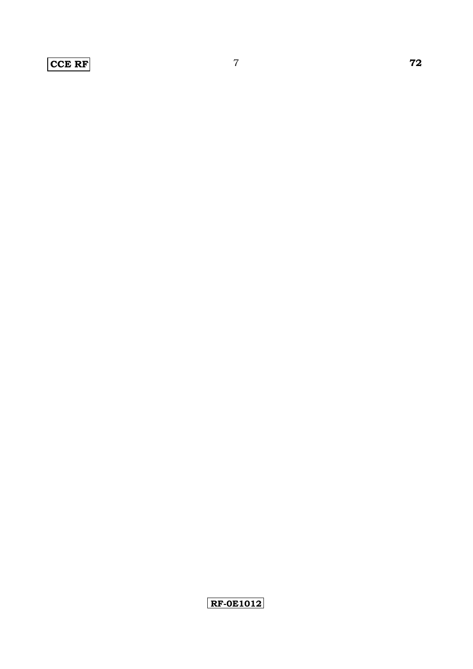# CCE RF